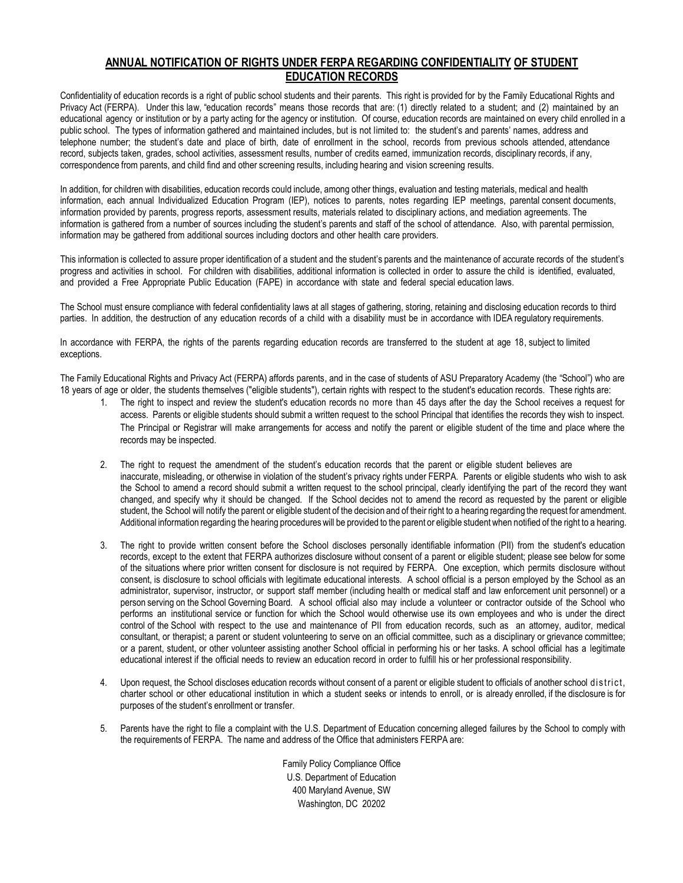## **ANNUAL NOTIFICATION OF RIGHTS UNDER FERPA REGARDING CONFIDENTIALITY OF STUDENT EDUCATION RECORDS**

Confidentiality of education records is a right of public school students and their parents. This right is provided for by the Family Educational Rights and Privacy Act (FERPA). Under this law, "education records" means those records that are: (1) directly related to a student; and (2) maintained by an educational agency or institution or by a party acting for the agency or institution. Of course, education records are maintained on every child enrolled in a public school. The types of information gathered and maintained includes, but is not limited to: the student's and parents' names, address and telephone number; the student's date and place of birth, date of enrollment in the school, records from previous schools attended, attendance record, subjects taken, grades, school activities, assessment results, number of credits earned, immunization records, disciplinary records, if any, correspondence from parents, and child find and other screening results, including hearing and vision screening results.

In addition, for children with disabilities, education records could include, among other things, evaluation and testing materials, medical and health information, each annual Individualized Education Program (IEP), notices to parents, notes regarding IEP meetings, parental consent documents, information provided by parents, progress reports, assessment results, materials related to disciplinary actions, and mediation agreements. The information is gathered from a number of sources including the student's parents and staff of the school of attendance. Also, with parental permission, information may be gathered from additional sources including doctors and other health care providers.

This information is collected to assure proper identification of a student and the student's parents and the maintenance of accurate records of the student's progress and activities in school. For children with disabilities, additional information is collected in order to assure the child is identified, evaluated, and provided a Free Appropriate Public Education (FAPE) in accordance with state and federal special education laws.

The School must ensure compliance with federal confidentiality laws at all stages of gathering, storing, retaining and disclosing education records to third parties. In addition, the destruction of any education records of a child with a disability must be in accordance with IDEA regulatory requirements.

In accordance with FERPA, the rights of the parents regarding education records are transferred to the student at age 18, subject to limited exceptions.

The Family Educational Rights and Privacy Act (FERPA) affords parents, and in the case of students of ASU Preparatory Academy (the "School") who are 18 years of age or older, the students themselves ("eligible students"), certain rights with respect to the student's education records. These rights are:

- 1. The right to inspect and review the student's education records no more than 45 days after the day the School receives a request for access. Parents or eligible students should submit a written request to the school Principal that identifies the records they wish to inspect. The Principal or Registrar will make arrangements for access and notify the parent or eligible student of the time and place where the records may be inspected.
- 2. The right to request the amendment of the student's education records that the parent or eligible student believes are inaccurate, misleading, or otherwise in violation of the student's privacy rights under FERPA. Parents or eligible students who wish to ask the School to amend a record should submit a written request to the school principal, clearly identifying the part of the record they want changed, and specify why it should be changed. If the School decides not to amend the record as requested by the parent or eligible student, the School will notify the parent or eligible student of the decision and of their right to a hearing regarding the request for amendment. Additional information regarding the hearing procedures will be provided to the parent or eligible student when notified of the right to a hearing.
- 3. The right to provide written consent before the School discloses personally identifiable information (PII) from the student's education records, except to the extent that FERPA authorizes disclosure without consent of a parent or eligible student; please see below for some of the situations where prior written consent for disclosure is not required by FERPA. One exception, which permits disclosure without consent, is disclosure to school officials with legitimate educational interests. A school official is a person employed by the School as an administrator, supervisor, instructor, or support staff member (including health or medical staff and law enforcement unit personnel) or a person serving on the School Governing Board. A school official also may include a volunteer or contractor outside of the School who performs an institutional service or function for which the School would otherwise use its own employees and who is under the direct control of the School with respect to the use and maintenance of PII from education records, such as an attorney, auditor, medical consultant, or therapist; a parent or student volunteering to serve on an official committee, such as a disciplinary or grievance committee; or a parent, student, or other volunteer assisting another School official in performing his or her tasks. A school official has a legitimate educational interest if the official needs to review an education record in order to fulfill his or her professional responsibility.
- 4. Upon request, the School discloses education records without consent of a parent or eligible student to officials of another school district, charter school or other educational institution in which a student seeks or intends to enroll, or is already enrolled, if the disclosure is for purposes of the student's enrollment or transfer.
- 5. Parents have the right to file a complaint with the U.S. Department of Education concerning alleged failures by the School to comply with the requirements of FERPA. The name and address of the Office that administers FERPA are:

Family Policy Compliance Office U.S. Department of Education 400 Maryland Avenue, SW Washington, DC 20202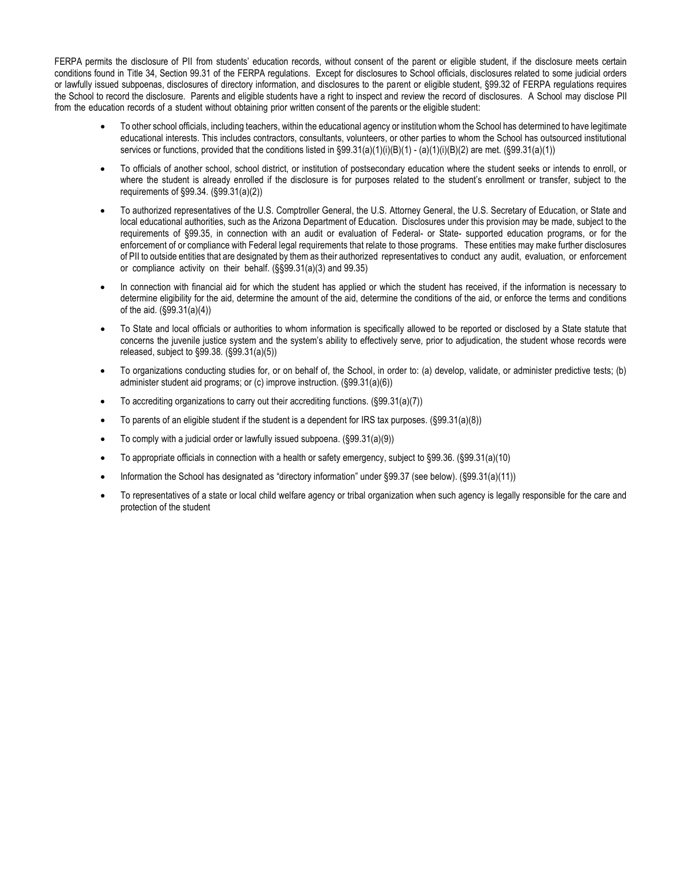FERPA permits the disclosure of PII from students' education records, without consent of the parent or eligible student, if the disclosure meets certain conditions found in Title 34, Section 99.31 of the FERPA regulations. Except for disclosures to School officials, disclosures related to some judicial orders or lawfully issued subpoenas, disclosures of directory information, and disclosures to the parent or eligible student, §99.32 of FERPA regulations requires the School to record the disclosure. Parents and eligible students have a right to inspect and review the record of disclosures. A School may disclose PII from the education records of a student without obtaining prior written consent of the parents or the eligible student:

- To other school officials, including teachers, within the educational agency or institution whom the School has determined to have legitimate educational interests. This includes contractors, consultants, volunteers, or other parties to whom the School has outsourced institutional services or functions, provided that the conditions listed in  $\S99.31(a)(1)(i)(B)(1) - (a)(1)(i)(B)(2)$  are met. ( $\S99.31(a)(1)$ )
- To officials of another school, school district, or institution of postsecondary education where the student seeks or intends to enroll, or where the student is already enrolled if the disclosure is for purposes related to the student's enrollment or transfer, subject to the requirements of §99.34. (§99.31(a)(2))
- To authorized representatives of the U.S. Comptroller General, the U.S. Attorney General, the U.S. Secretary of Education, or State and local educational authorities, such as the Arizona Department of Education. Disclosures under this provision may be made, subject to the requirements of §99.35, in connection with an audit or evaluation of Federal- or State- supported education programs, or for the enforcement of or compliance with Federal legal requirements that relate to those programs. These entities may make further disclosures of PII to outside entities that are designated by them as their authorized representatives to conduct any audit, evaluation, or enforcement or compliance activity on their behalf. (§§99.31(a)(3) and 99.35)
- In connection with financial aid for which the student has applied or which the student has received, if the information is necessary to determine eligibility for the aid, determine the amount of the aid, determine the conditions of the aid, or enforce the terms and conditions of the aid. (§99.31(a)(4))
- To State and local officials or authorities to whom information is specifically allowed to be reported or disclosed by a State statute that concerns the juvenile justice system and the system's ability to effectively serve, prior to adjudication, the student whose records were released, subject to §99.38. (§99.31(a)(5))
- To organizations conducting studies for, or on behalf of, the School, in order to: (a) develop, validate, or administer predictive tests; (b) administer student aid programs; or (c) improve instruction. (§99.31(a)(6))
- To accrediting organizations to carry out their accrediting functions.  $(\S 99.31(a)(7))$
- To parents of an eligible student if the student is a dependent for IRS tax purposes. (§99.31(a)(8))
- To comply with a judicial order or lawfully issued subpoena. (§99.31(a)(9))
- To appropriate officials in connection with a health or safety emergency, subject to §99.36. (§99.31(a)(10)
- Information the School has designated as "directory information" under §99.37 (see below). (§99.31(a)(11))
- To representatives of a state or local child welfare agency or tribal organization when such agency is legally responsible for the care and protection of the student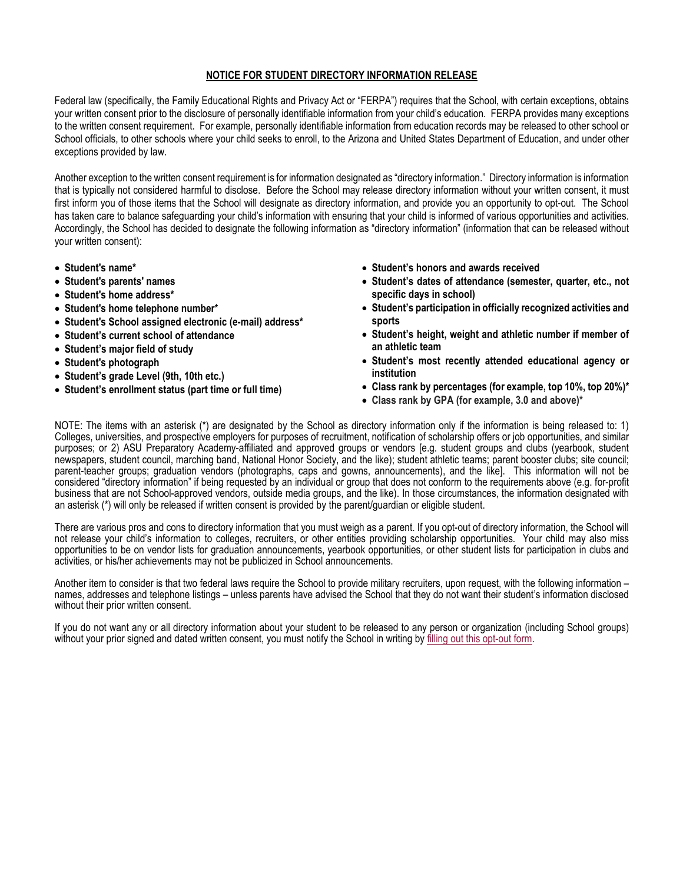## **NOTICE FOR STUDENT DIRECTORY INFORMATION RELEASE**

Federal law (specifically, the Family Educational Rights and Privacy Act or "FERPA") requires that the School, with certain exceptions, obtains your written consent prior to the disclosure of personally identifiable information from your child's education. FERPA provides many exceptions to the written consent requirement. For example, personally identifiable information from education records may be released to other school or School officials, to other schools where your child seeks to enroll, to the Arizona and United States Department of Education, and under other exceptions provided by law.

Another exception to the written consent requirement is for information designated as "directory information." Directory information is information that is typically not considered harmful to disclose. Before the School may release directory information without your written consent, it must first inform you of those items that the School will designate as directory information, and provide you an opportunity to opt-out. The School has taken care to balance safeguarding your child's information with ensuring that your child is informed of various opportunities and activities. Accordingly, the School has decided to designate the following information as "directory information" (information that can be released without your written consent):

- **Student's name\***
- **Student's parents' names**
- **Student's home address\***
- **Student's home telephone number\***
- **Student's School assigned electronic (e-mail) address\***
- **Student's current school of attendance**
- **Student's major field of study**
- **Student's photograph**
- **Student's grade Level (9th, 10th etc.)**
- **Student's enrollment status (part time or full time)**
- **Student's honors and awards received**
- **Student's dates of attendance (semester, quarter, etc., not specific days in school)**
- **Student's participation in officially recognized activities and sports**
- **Student's height, weight and athletic number if member of an athletic team**
- **Student's most recently attended educational agency or institution**
- **Class rank by percentages (for example, top 10%, top 20%)\***
- **Class rank by GPA (for example, 3.0 and above)\***

NOTE: The items with an asterisk (\*) are designated by the School as directory information only if the information is being released to: 1) Colleges, universities, and prospective employers for purposes of recruitment, notification of scholarship offers or job opportunities, and similar purposes; or 2) ASU Preparatory Academy-affiliated and approved groups or vendors [e.g. student groups and clubs (yearbook, student newspapers, student council, marching band, National Honor Society, and the like); student athletic teams; parent booster clubs; site council; parent-teacher groups; graduation vendors (photographs, caps and gowns, announcements), and the like]. This information will not be considered "directory information" if being requested by an individual or group that does not conform to the requirements above (e.g. for-profit business that are not School-approved vendors, outside media groups, and the like). In those circumstances, the information designated with an asterisk (\*) will only be released if written consent is provided by the parent/guardian or eligible student.

There are various pros and cons to directory information that you must weigh as a parent. If you opt-out of directory information, the School will not release your child's information to colleges, recruiters, or other entities providing scholarship opportunities. Your child may also miss opportunities to be on vendor lists for graduation announcements, yearbook opportunities, or other student lists for participation in clubs and activities, or his/her achievements may not be publicized in School announcements.

Another item to consider is that two federal laws require the School to provide military recruiters, upon request, with the following information – names, addresses and telephone listings – unless parents have advised the School that they do not want their student's information disclosed without their prior written consent.

If you do not want any or all directory information about your student to be released to any person or organization (including School groups) without your prior signed and dated written consent, you must notify the School in writing by [filling out this opt-out form.](https://asuprep.asu.edu/sites/default/files/ferpa_opt_out.pdf)